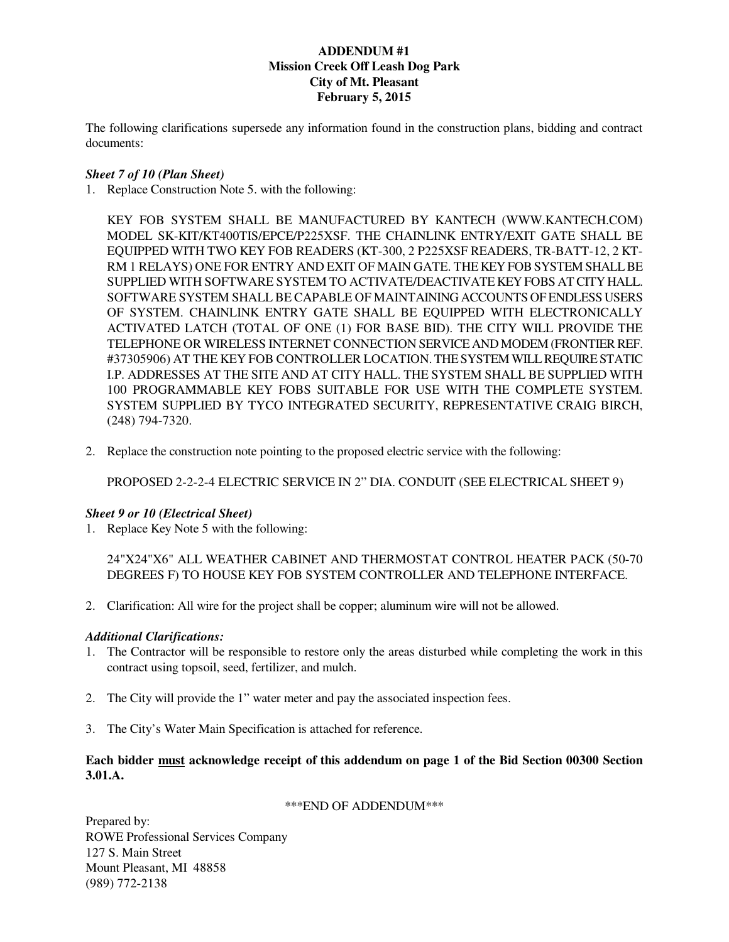# **ADDENDUM #1 Mission Creek Off Leash Dog Park City of Mt. Pleasant February 5, 2015**

The following clarifications supersede any information found in the construction plans, bidding and contract documents:

## *Sheet 7 of 10 (Plan Sheet)*

1. Replace Construction Note 5. with the following:

KEY FOB SYSTEM SHALL BE MANUFACTURED BY KANTECH (WWW.KANTECH.COM) MODEL SK-KIT/KT400TIS/EPCE/P225XSF. THE CHAINLINK ENTRY/EXIT GATE SHALL BE EQUIPPED WITH TWO KEY FOB READERS (KT-300, 2 P225XSF READERS, TR-BATT-12, 2 KT-RM 1 RELAYS) ONE FOR ENTRY AND EXIT OF MAIN GATE. THE KEY FOB SYSTEM SHALL BE SUPPLIED WITH SOFTWARE SYSTEM TO ACTIVATE/DEACTIVATE KEY FOBS AT CITY HALL. SOFTWARE SYSTEM SHALL BE CAPABLE OF MAINTAINING ACCOUNTS OF ENDLESS USERS OF SYSTEM. CHAINLINK ENTRY GATE SHALL BE EQUIPPED WITH ELECTRONICALLY ACTIVATED LATCH (TOTAL OF ONE (1) FOR BASE BID). THE CITY WILL PROVIDE THE TELEPHONE OR WIRELESS INTERNET CONNECTION SERVICE AND MODEM (FRONTIER REF. #37305906) AT THE KEY FOB CONTROLLER LOCATION. THE SYSTEM WILL REQUIRE STATIC I.P. ADDRESSES AT THE SITE AND AT CITY HALL. THE SYSTEM SHALL BE SUPPLIED WITH 100 PROGRAMMABLE KEY FOBS SUITABLE FOR USE WITH THE COMPLETE SYSTEM. SYSTEM SUPPLIED BY TYCO INTEGRATED SECURITY, REPRESENTATIVE CRAIG BIRCH, (248) 794-7320.

2. Replace the construction note pointing to the proposed electric service with the following:

PROPOSED 2-2-2-4 ELECTRIC SERVICE IN 2" DIA. CONDUIT (SEE ELECTRICAL SHEET 9)

## *Sheet 9 or 10 (Electrical Sheet)*

1. Replace Key Note 5 with the following:

24"X24"X6" ALL WEATHER CABINET AND THERMOSTAT CONTROL HEATER PACK (50-70 DEGREES F) TO HOUSE KEY FOB SYSTEM CONTROLLER AND TELEPHONE INTERFACE.

2. Clarification: All wire for the project shall be copper; aluminum wire will not be allowed.

## *Additional Clarifications:*

- 1. The Contractor will be responsible to restore only the areas disturbed while completing the work in this contract using topsoil, seed, fertilizer, and mulch.
- 2. The City will provide the 1" water meter and pay the associated inspection fees.
- 3. The City's Water Main Specification is attached for reference.

## **Each bidder must acknowledge receipt of this addendum on page 1 of the Bid Section 00300 Section 3.01.A.**

#### \*\*\*END OF ADDENDUM\*\*\*

Prepared by: ROWE Professional Services Company 127 S. Main Street Mount Pleasant, MI 48858 (989) 772-2138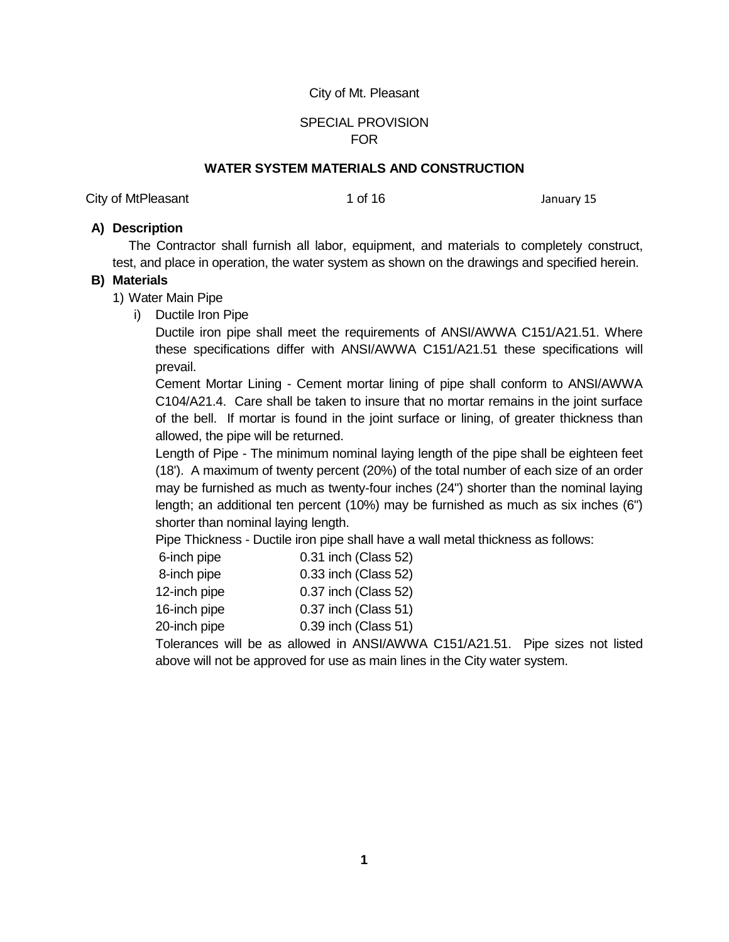## City of Mt. Pleasant

# SPECIAL PROVISION FOR

## **WATER SYSTEM MATERIALS AND CONSTRUCTION**

City of MtPleasant 1 of 16 January 15

## **A) Description**

The Contractor shall furnish all labor, equipment, and materials to completely construct, test, and place in operation, the water system as shown on the drawings and specified herein.

## **B) Materials**

- 1) Water Main Pipe
	- i) Ductile Iron Pipe

Ductile iron pipe shall meet the requirements of ANSI/AWWA C151/A21.51. Where these specifications differ with ANSI/AWWA C151/A21.51 these specifications will prevail.

Cement Mortar Lining - Cement mortar lining of pipe shall conform to ANSI/AWWA C104/A21.4. Care shall be taken to insure that no mortar remains in the joint surface of the bell. If mortar is found in the joint surface or lining, of greater thickness than allowed, the pipe will be returned.

Length of Pipe - The minimum nominal laying length of the pipe shall be eighteen feet (18'). A maximum of twenty percent (20%) of the total number of each size of an order may be furnished as much as twenty-four inches (24") shorter than the nominal laying length; an additional ten percent (10%) may be furnished as much as six inches (6") shorter than nominal laying length.

Pipe Thickness - Ductile iron pipe shall have a wall metal thickness as follows:

| 6-inch pipe  |  | 0.31 inch (Class 52)                                                                                   |  |
|--------------|--|--------------------------------------------------------------------------------------------------------|--|
| 8-inch pipe  |  | 0.33 inch (Class 52)                                                                                   |  |
| 12-inch pipe |  | 0.37 inch (Class 52)                                                                                   |  |
| 16-inch pipe |  | 0.37 inch (Class 51)                                                                                   |  |
| 20-inch pipe |  | 0.39 inch (Class 51)                                                                                   |  |
|              |  | $\mathbf{u}$ , $\mathbf{v}$ , $\mathbf{v}$ , $\mathbf{v}$ , $\mathbf{v}$ , $\mathbf{v}$ , $\mathbf{v}$ |  |

Tolerances will be as allowed in ANSI/AWWA C151/A21.51. Pipe sizes not listed above will not be approved for use as main lines in the City water system.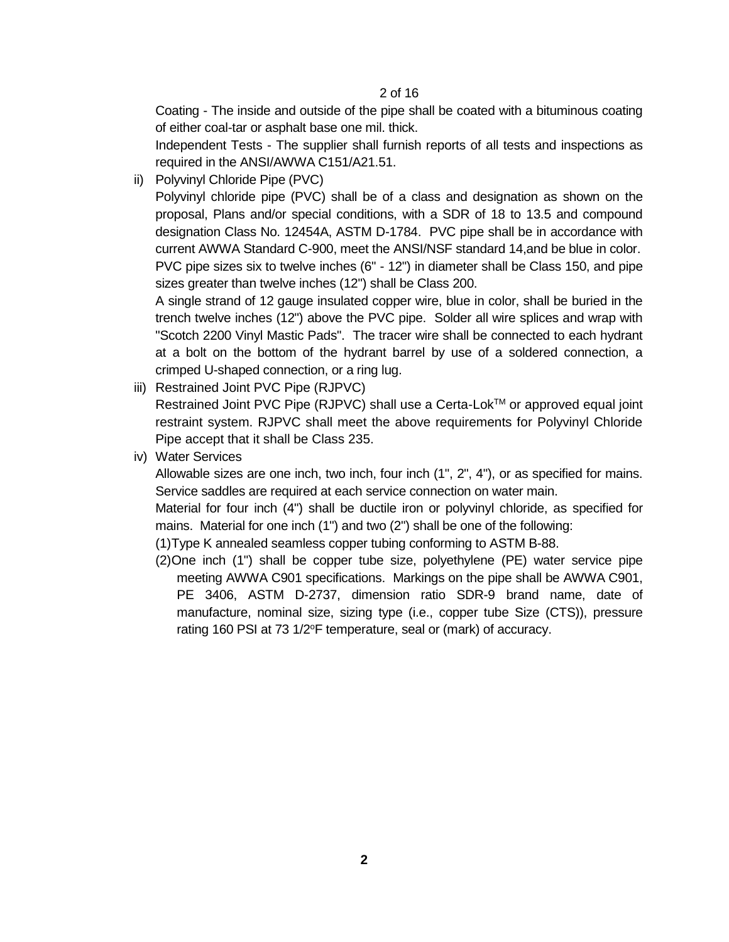Coating - The inside and outside of the pipe shall be coated with a bituminous coating of either coal-tar or asphalt base one mil. thick.

Independent Tests - The supplier shall furnish reports of all tests and inspections as required in the ANSI/AWWA C151/A21.51.

ii) Polyvinyl Chloride Pipe (PVC)

Polyvinyl chloride pipe (PVC) shall be of a class and designation as shown on the proposal, Plans and/or special conditions, with a SDR of 18 to 13.5 and compound designation Class No. 12454A, ASTM D-1784. PVC pipe shall be in accordance with current AWWA Standard C-900, meet the ANSI/NSF standard 14,and be blue in color. PVC pipe sizes six to twelve inches (6" - 12") in diameter shall be Class 150, and pipe sizes greater than twelve inches (12") shall be Class 200.

A single strand of 12 gauge insulated copper wire, blue in color, shall be buried in the trench twelve inches (12") above the PVC pipe. Solder all wire splices and wrap with "Scotch 2200 Vinyl Mastic Pads". The tracer wire shall be connected to each hydrant at a bolt on the bottom of the hydrant barrel by use of a soldered connection, a crimped U-shaped connection, or a ring lug.

iii) Restrained Joint PVC Pipe (RJPVC)

Restrained Joint PVC Pipe (RJPVC) shall use a Certa-Lok<sup>TM</sup> or approved equal joint restraint system. RJPVC shall meet the above requirements for Polyvinyl Chloride Pipe accept that it shall be Class 235.

iv) Water Services

Allowable sizes are one inch, two inch, four inch (1", 2", 4"), or as specified for mains. Service saddles are required at each service connection on water main.

Material for four inch (4") shall be ductile iron or polyvinyl chloride, as specified for mains. Material for one inch (1") and two (2") shall be one of the following:

(1)Type K annealed seamless copper tubing conforming to ASTM B-88.

(2)One inch (1") shall be copper tube size, polyethylene (PE) water service pipe meeting AWWA C901 specifications. Markings on the pipe shall be AWWA C901, PE 3406, ASTM D-2737, dimension ratio SDR-9 brand name, date of manufacture, nominal size, sizing type (i.e., copper tube Size (CTS)), pressure rating 160 PSI at 73 1/2°F temperature, seal or (mark) of accuracy.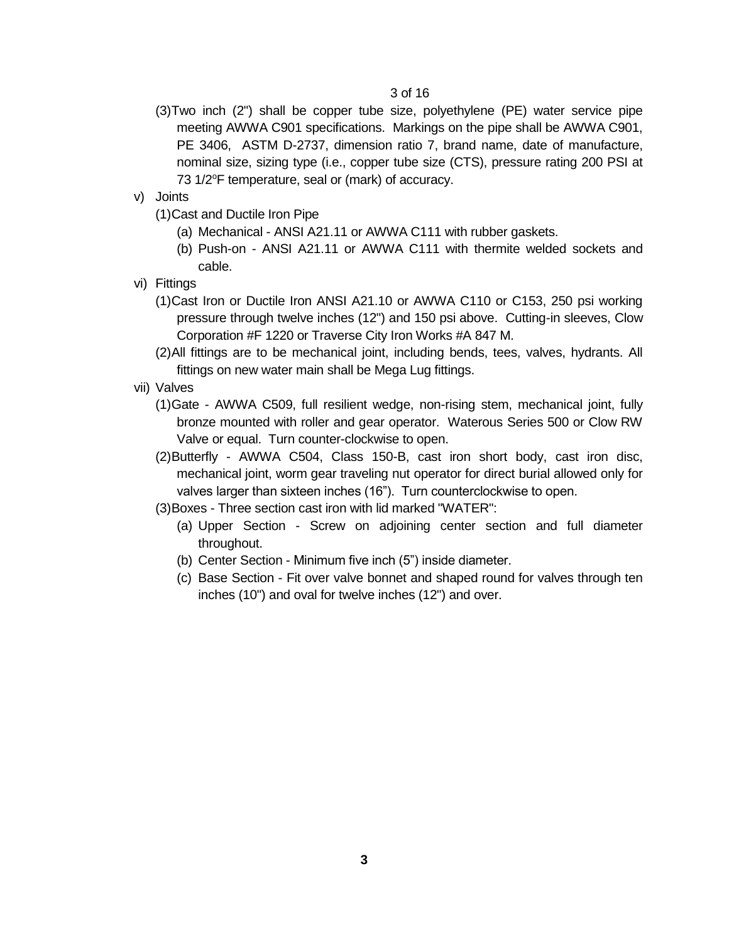- (3)Two inch (2") shall be copper tube size, polyethylene (PE) water service pipe meeting AWWA C901 specifications. Markings on the pipe shall be AWWA C901, PE 3406, ASTM D-2737, dimension ratio 7, brand name, date of manufacture, nominal size, sizing type (i.e., copper tube size (CTS), pressure rating 200 PSI at 73  $1/2$ °F temperature, seal or (mark) of accuracy.
- v) Joints
	- (1)Cast and Ductile Iron Pipe
		- (a) Mechanical ANSI A21.11 or AWWA C111 with rubber gaskets.
		- (b) Push-on ANSI A21.11 or AWWA C111 with thermite welded sockets and cable.
- vi) Fittings
	- (1)Cast Iron or Ductile Iron ANSI A21.10 or AWWA C110 or C153, 250 psi working pressure through twelve inches (12") and 150 psi above. Cutting-in sleeves, Clow Corporation #F 1220 or Traverse City Iron Works #A 847 M.
	- (2)All fittings are to be mechanical joint, including bends, tees, valves, hydrants. All fittings on new water main shall be Mega Lug fittings.
- vii) Valves
	- (1)Gate AWWA C509, full resilient wedge, non-rising stem, mechanical joint, fully bronze mounted with roller and gear operator. Waterous Series 500 or Clow RW Valve or equal. Turn counter-clockwise to open.
	- (2)Butterfly AWWA C504, Class 150-B, cast iron short body, cast iron disc, mechanical joint, worm gear traveling nut operator for direct burial allowed only for valves larger than sixteen inches (16"). Turn counterclockwise to open.
	- (3)Boxes Three section cast iron with lid marked "WATER":
		- (a) Upper Section Screw on adjoining center section and full diameter throughout.
		- (b) Center Section Minimum five inch (5") inside diameter.
		- (c) Base Section Fit over valve bonnet and shaped round for valves through ten inches (10") and oval for twelve inches (12") and over.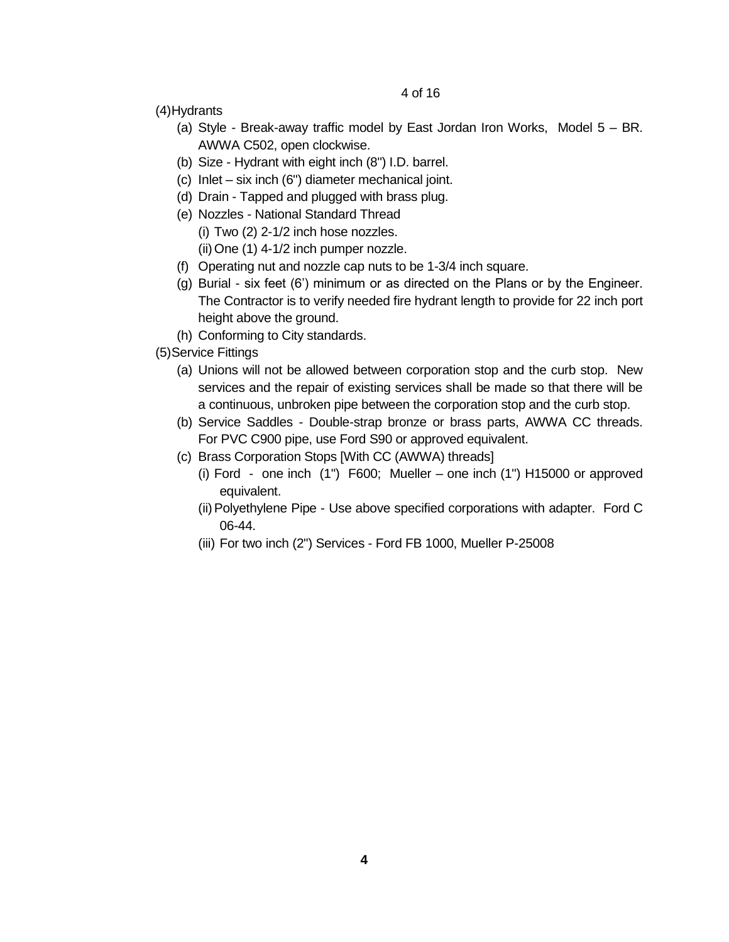(4)Hydrants

- (a) Style Break-away traffic model by East Jordan Iron Works, Model 5 BR. AWWA C502, open clockwise.
- (b) Size Hydrant with eight inch (8") I.D. barrel.
- (c) Inlet six inch (6") diameter mechanical joint.
- (d) Drain Tapped and plugged with brass plug.
- (e) Nozzles National Standard Thread
	- (i) Two (2) 2-1/2 inch hose nozzles.
	- (ii)One (1) 4-1/2 inch pumper nozzle.
- (f) Operating nut and nozzle cap nuts to be 1-3/4 inch square.
- (g) Burial six feet (6') minimum or as directed on the Plans or by the Engineer. The Contractor is to verify needed fire hydrant length to provide for 22 inch port height above the ground.
- (h) Conforming to City standards.
- (5)Service Fittings
	- (a) Unions will not be allowed between corporation stop and the curb stop. New services and the repair of existing services shall be made so that there will be a continuous, unbroken pipe between the corporation stop and the curb stop.
	- (b) Service Saddles Double-strap bronze or brass parts, AWWA CC threads. For PVC C900 pipe, use Ford S90 or approved equivalent.
	- (c) Brass Corporation Stops [With CC (AWWA) threads]
		- (i) Ford one inch (1") F600; Mueller one inch (1") H15000 or approved equivalent.
		- (ii)Polyethylene Pipe Use above specified corporations with adapter. Ford C 06-44.
		- (iii) For two inch (2") Services Ford FB 1000, Mueller P-25008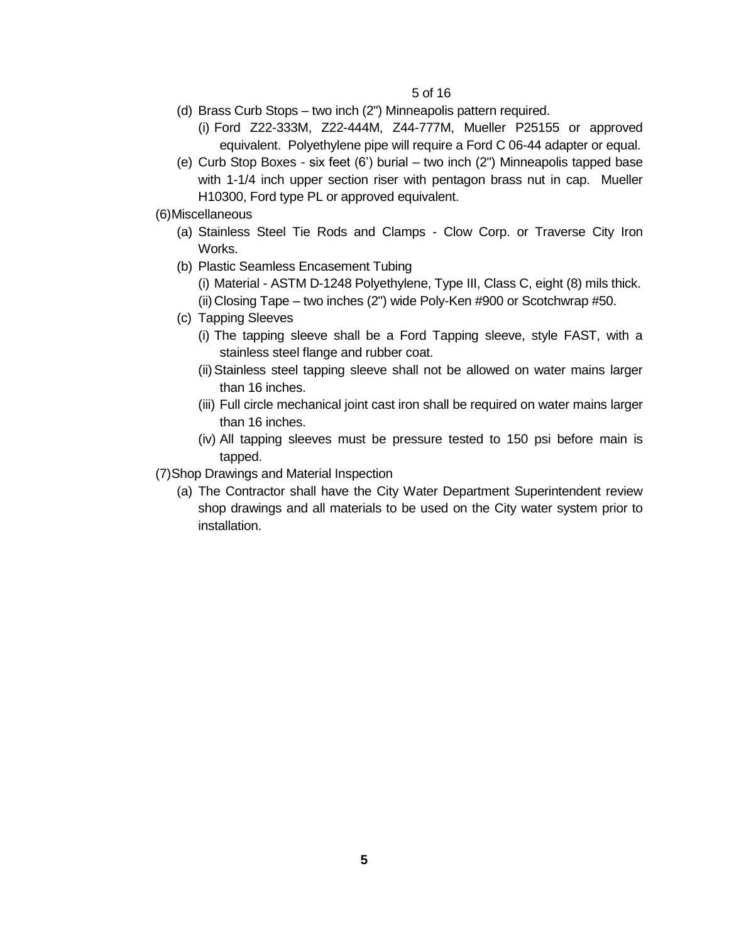- (d) Brass Curb Stops two inch (2") Minneapolis pattern required.
	- (i) Ford Z22-333M, Z22-444M, Z44-777M, Mueller P25155 or approved equivalent. Polyethylene pipe will require a Ford C 06-44 adapter or equal.
- (e) Curb Stop Boxes six feet (6') burial two inch (2") Minneapolis tapped base with 1-1/4 inch upper section riser with pentagon brass nut in cap. Mueller H10300, Ford type PL or approved equivalent.

(6)Miscellaneous

- (a) Stainless Steel Tie Rods and Clamps Clow Corp. or Traverse City Iron Works.
- (b) Plastic Seamless Encasement Tubing
	- (i) Material ASTM D-1248 Polyethylene, Type III, Class C, eight (8) mils thick. (ii)Closing Tape – two inches (2") wide Poly-Ken #900 or Scotchwrap #50.
- (c) Tapping Sleeves
	- (i) The tapping sleeve shall be a Ford Tapping sleeve, style FAST, with a stainless steel flange and rubber coat.
	- (ii)Stainless steel tapping sleeve shall not be allowed on water mains larger than 16 inches.
	- (iii) Full circle mechanical joint cast iron shall be required on water mains larger than 16 inches.
	- (iv) All tapping sleeves must be pressure tested to 150 psi before main is tapped.

(7)Shop Drawings and Material Inspection

(a) The Contractor shall have the City Water Department Superintendent review shop drawings and all materials to be used on the City water system prior to installation.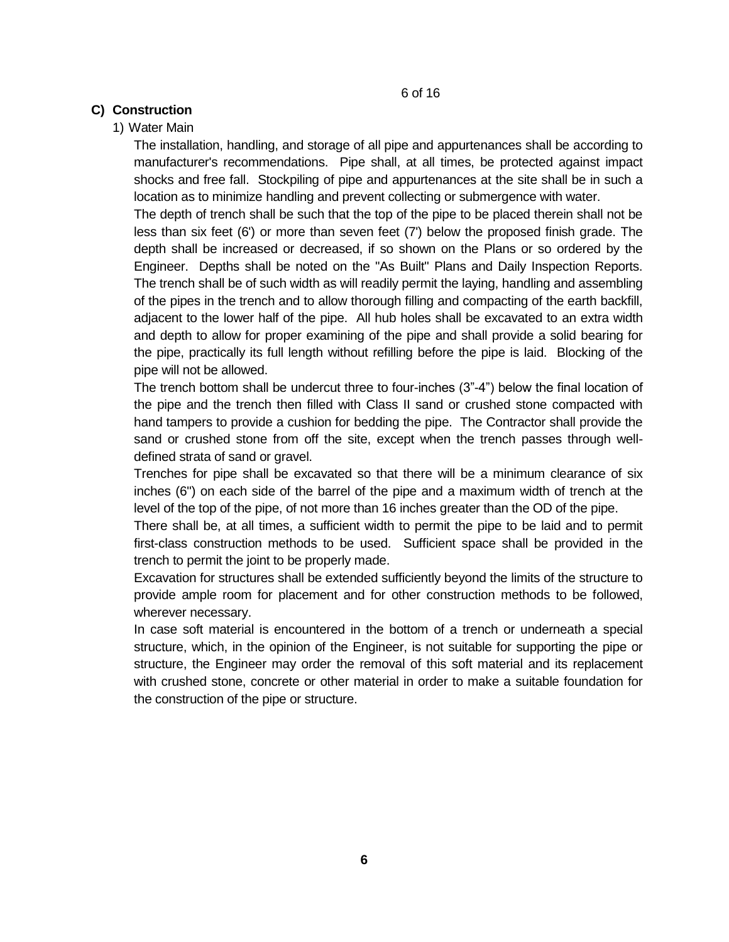# **C) Construction**

## 1) Water Main

The installation, handling, and storage of all pipe and appurtenances shall be according to manufacturer's recommendations. Pipe shall, at all times, be protected against impact shocks and free fall. Stockpiling of pipe and appurtenances at the site shall be in such a location as to minimize handling and prevent collecting or submergence with water.

The depth of trench shall be such that the top of the pipe to be placed therein shall not be less than six feet (6') or more than seven feet (7') below the proposed finish grade. The depth shall be increased or decreased, if so shown on the Plans or so ordered by the Engineer. Depths shall be noted on the "As Built" Plans and Daily Inspection Reports. The trench shall be of such width as will readily permit the laying, handling and assembling of the pipes in the trench and to allow thorough filling and compacting of the earth backfill, adjacent to the lower half of the pipe. All hub holes shall be excavated to an extra width and depth to allow for proper examining of the pipe and shall provide a solid bearing for the pipe, practically its full length without refilling before the pipe is laid. Blocking of the pipe will not be allowed.

The trench bottom shall be undercut three to four-inches (3"-4") below the final location of the pipe and the trench then filled with Class II sand or crushed stone compacted with hand tampers to provide a cushion for bedding the pipe. The Contractor shall provide the sand or crushed stone from off the site, except when the trench passes through welldefined strata of sand or gravel.

Trenches for pipe shall be excavated so that there will be a minimum clearance of six inches (6") on each side of the barrel of the pipe and a maximum width of trench at the level of the top of the pipe, of not more than 16 inches greater than the OD of the pipe.

There shall be, at all times, a sufficient width to permit the pipe to be laid and to permit first-class construction methods to be used. Sufficient space shall be provided in the trench to permit the joint to be properly made.

Excavation for structures shall be extended sufficiently beyond the limits of the structure to provide ample room for placement and for other construction methods to be followed, wherever necessary.

In case soft material is encountered in the bottom of a trench or underneath a special structure, which, in the opinion of the Engineer, is not suitable for supporting the pipe or structure, the Engineer may order the removal of this soft material and its replacement with crushed stone, concrete or other material in order to make a suitable foundation for the construction of the pipe or structure.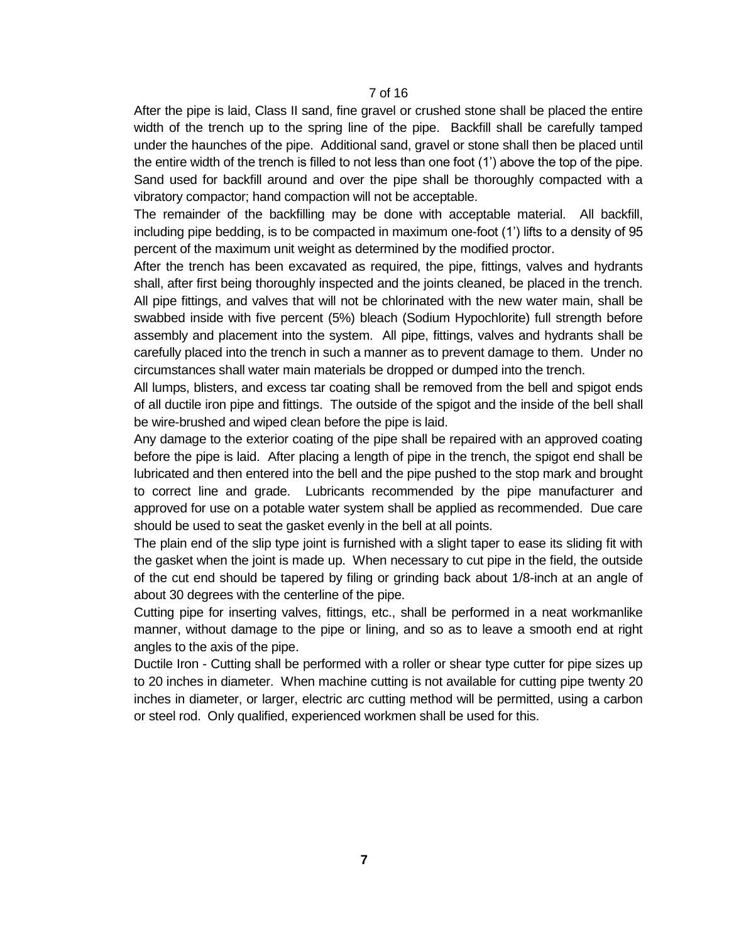After the pipe is laid, Class II sand, fine gravel or crushed stone shall be placed the entire width of the trench up to the spring line of the pipe. Backfill shall be carefully tamped under the haunches of the pipe. Additional sand, gravel or stone shall then be placed until the entire width of the trench is filled to not less than one foot (1') above the top of the pipe. Sand used for backfill around and over the pipe shall be thoroughly compacted with a vibratory compactor; hand compaction will not be acceptable.

The remainder of the backfilling may be done with acceptable material. All backfill, including pipe bedding, is to be compacted in maximum one-foot (1') lifts to a density of 95 percent of the maximum unit weight as determined by the modified proctor.

After the trench has been excavated as required, the pipe, fittings, valves and hydrants shall, after first being thoroughly inspected and the joints cleaned, be placed in the trench. All pipe fittings, and valves that will not be chlorinated with the new water main, shall be swabbed inside with five percent (5%) bleach (Sodium Hypochlorite) full strength before assembly and placement into the system. All pipe, fittings, valves and hydrants shall be carefully placed into the trench in such a manner as to prevent damage to them. Under no circumstances shall water main materials be dropped or dumped into the trench.

All lumps, blisters, and excess tar coating shall be removed from the bell and spigot ends of all ductile iron pipe and fittings. The outside of the spigot and the inside of the bell shall be wire-brushed and wiped clean before the pipe is laid.

Any damage to the exterior coating of the pipe shall be repaired with an approved coating before the pipe is laid. After placing a length of pipe in the trench, the spigot end shall be lubricated and then entered into the bell and the pipe pushed to the stop mark and brought to correct line and grade. Lubricants recommended by the pipe manufacturer and approved for use on a potable water system shall be applied as recommended. Due care should be used to seat the gasket evenly in the bell at all points.

The plain end of the slip type joint is furnished with a slight taper to ease its sliding fit with the gasket when the joint is made up. When necessary to cut pipe in the field, the outside of the cut end should be tapered by filing or grinding back about 1/8-inch at an angle of about 30 degrees with the centerline of the pipe.

Cutting pipe for inserting valves, fittings, etc., shall be performed in a neat workmanlike manner, without damage to the pipe or lining, and so as to leave a smooth end at right angles to the axis of the pipe.

Ductile Iron - Cutting shall be performed with a roller or shear type cutter for pipe sizes up to 20 inches in diameter. When machine cutting is not available for cutting pipe twenty 20 inches in diameter, or larger, electric arc cutting method will be permitted, using a carbon or steel rod. Only qualified, experienced workmen shall be used for this.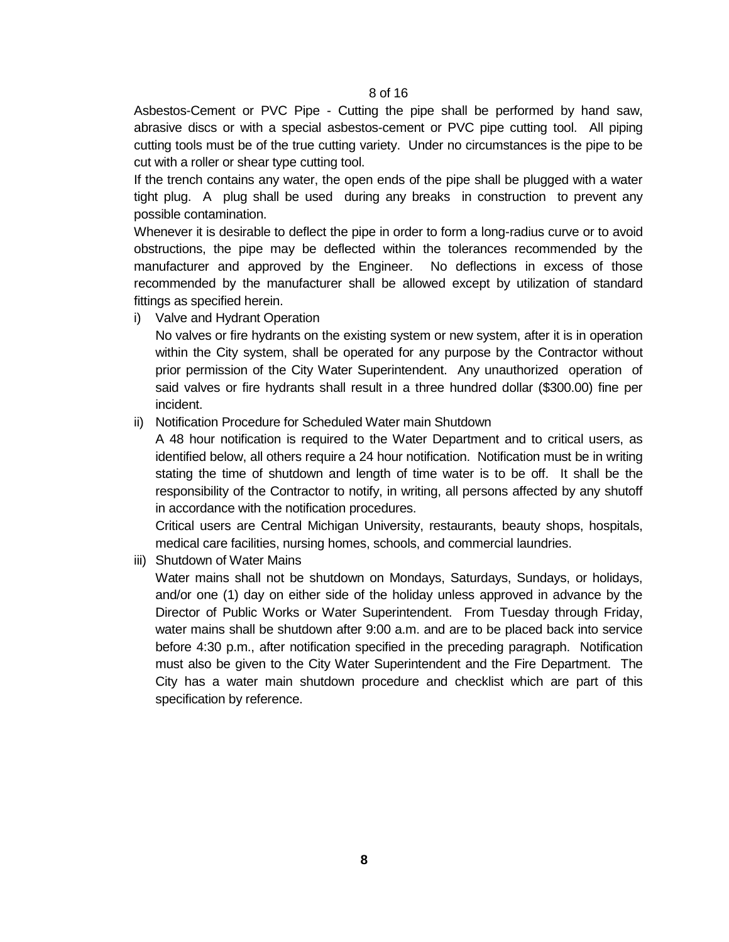Asbestos-Cement or PVC Pipe - Cutting the pipe shall be performed by hand saw, abrasive discs or with a special asbestos-cement or PVC pipe cutting tool. All piping cutting tools must be of the true cutting variety. Under no circumstances is the pipe to be cut with a roller or shear type cutting tool.

If the trench contains any water, the open ends of the pipe shall be plugged with a water tight plug. A plug shall be used during any breaks in construction to prevent any possible contamination.

Whenever it is desirable to deflect the pipe in order to form a long-radius curve or to avoid obstructions, the pipe may be deflected within the tolerances recommended by the manufacturer and approved by the Engineer. No deflections in excess of those recommended by the manufacturer shall be allowed except by utilization of standard fittings as specified herein.

i) Valve and Hydrant Operation

No valves or fire hydrants on the existing system or new system, after it is in operation within the City system, shall be operated for any purpose by the Contractor without prior permission of the City Water Superintendent. Any unauthorized operation of said valves or fire hydrants shall result in a three hundred dollar (\$300.00) fine per incident.

ii) Notification Procedure for Scheduled Water main Shutdown

A 48 hour notification is required to the Water Department and to critical users, as identified below, all others require a 24 hour notification. Notification must be in writing stating the time of shutdown and length of time water is to be off. It shall be the responsibility of the Contractor to notify, in writing, all persons affected by any shutoff in accordance with the notification procedures.

Critical users are Central Michigan University, restaurants, beauty shops, hospitals, medical care facilities, nursing homes, schools, and commercial laundries.

iii) Shutdown of Water Mains

Water mains shall not be shutdown on Mondays, Saturdays, Sundays, or holidays, and/or one (1) day on either side of the holiday unless approved in advance by the Director of Public Works or Water Superintendent. From Tuesday through Friday, water mains shall be shutdown after 9:00 a.m. and are to be placed back into service before 4:30 p.m., after notification specified in the preceding paragraph. Notification must also be given to the City Water Superintendent and the Fire Department. The City has a water main shutdown procedure and checklist which are part of this specification by reference.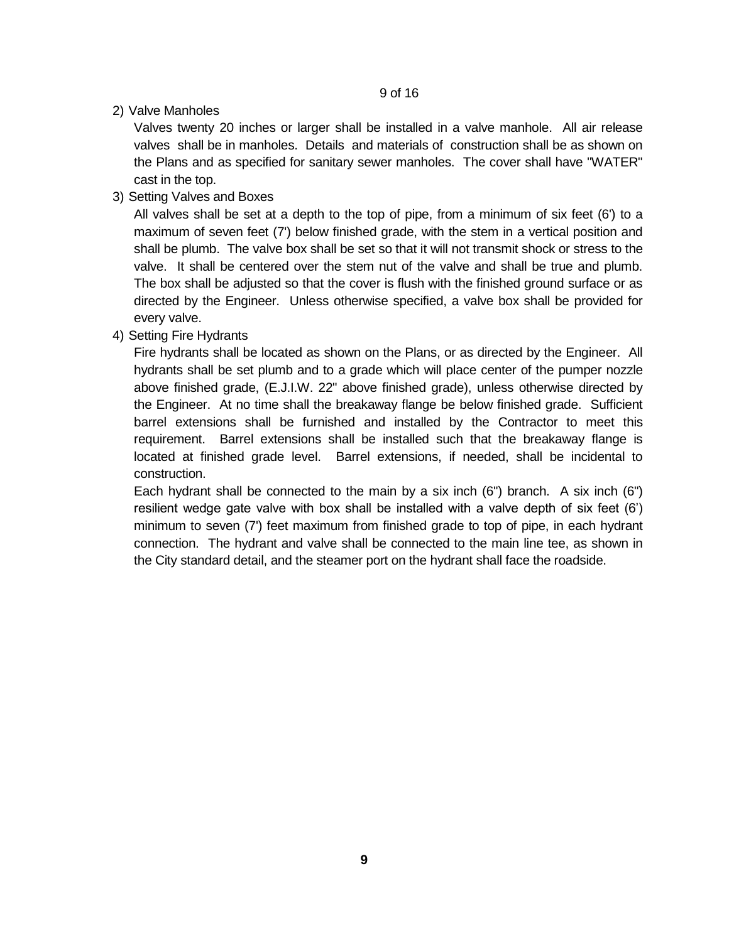2) Valve Manholes

Valves twenty 20 inches or larger shall be installed in a valve manhole. All air release valves shall be in manholes. Details and materials of construction shall be as shown on the Plans and as specified for sanitary sewer manholes. The cover shall have "WATER" cast in the top.

3) Setting Valves and Boxes

All valves shall be set at a depth to the top of pipe, from a minimum of six feet (6') to a maximum of seven feet (7') below finished grade, with the stem in a vertical position and shall be plumb. The valve box shall be set so that it will not transmit shock or stress to the valve. It shall be centered over the stem nut of the valve and shall be true and plumb. The box shall be adjusted so that the cover is flush with the finished ground surface or as directed by the Engineer. Unless otherwise specified, a valve box shall be provided for every valve.

4) Setting Fire Hydrants

Fire hydrants shall be located as shown on the Plans, or as directed by the Engineer. All hydrants shall be set plumb and to a grade which will place center of the pumper nozzle above finished grade, (E.J.I.W. 22" above finished grade), unless otherwise directed by the Engineer. At no time shall the breakaway flange be below finished grade. Sufficient barrel extensions shall be furnished and installed by the Contractor to meet this requirement. Barrel extensions shall be installed such that the breakaway flange is located at finished grade level. Barrel extensions, if needed, shall be incidental to construction.

Each hydrant shall be connected to the main by a six inch (6") branch. A six inch (6") resilient wedge gate valve with box shall be installed with a valve depth of six feet (6') minimum to seven (7') feet maximum from finished grade to top of pipe, in each hydrant connection. The hydrant and valve shall be connected to the main line tee, as shown in the City standard detail, and the steamer port on the hydrant shall face the roadside.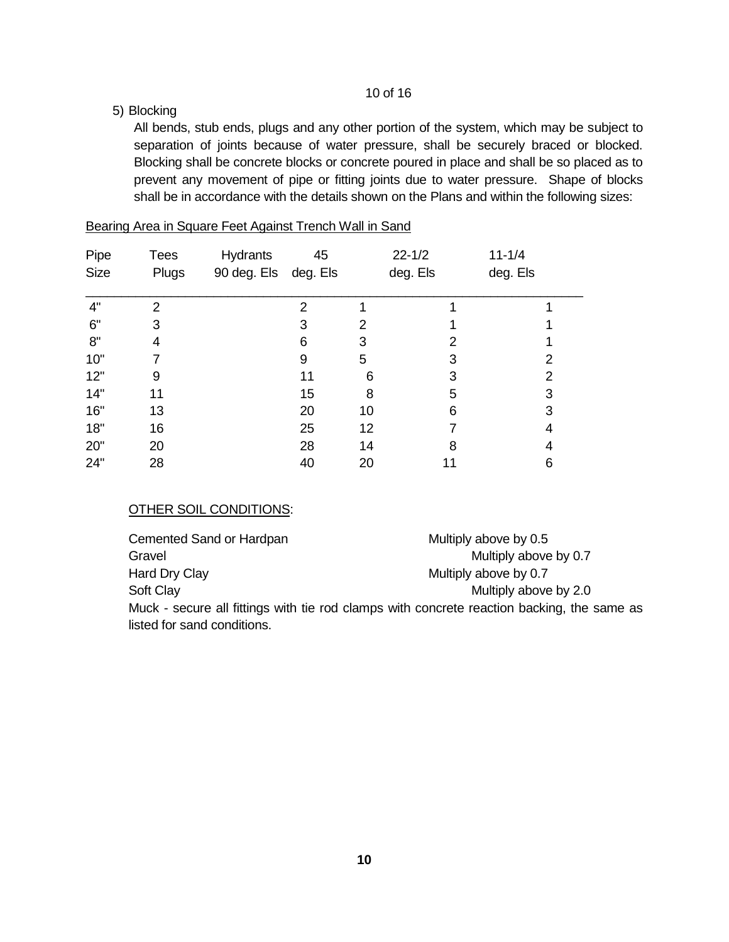# 5) Blocking

All bends, stub ends, plugs and any other portion of the system, which may be subject to separation of joints because of water pressure, shall be securely braced or blocked. Blocking shall be concrete blocks or concrete poured in place and shall be so placed as to prevent any movement of pipe or fitting joints due to water pressure. Shape of blocks shall be in accordance with the details shown on the Plans and within the following sizes:

| Pipe | <b>Tees</b> | <b>Hydrants</b>      | 45 |    | $22 - 1/2$ | $11 - 1/4$ |
|------|-------------|----------------------|----|----|------------|------------|
| Size | Plugs       | 90 deg. Els deg. Els |    |    | deg. Els   | deg. Els   |
| 4"   | 2           |                      | 2  |    |            |            |
| 6"   | 3           |                      | 3  | 2  |            |            |
| 8"   | 4           |                      | 6  | 3  | 2          |            |
| 10"  |             |                      | 9  | 5  | 3          | 2          |
| 12"  | 9           |                      | 11 | 6  | 3          | 2          |
| 14"  | 11          |                      | 15 | 8  | 5          | 3          |
| 16"  | 13          |                      | 20 | 10 | 6          | 3          |
| 18"  | 16          |                      | 25 | 12 |            | 4          |
| 20"  | 20          |                      | 28 | 14 | 8          | 4          |
| 24"  | 28          |                      | 40 | 20 | 11         | 6          |

## Bearing Area in Square Feet Against Trench Wall in Sand

## OTHER SOIL CONDITIONS:

| Cemented Sand or Hardpan                                                                   | Multiply above by 0.5 |
|--------------------------------------------------------------------------------------------|-----------------------|
| Gravel                                                                                     | Multiply above by 0.7 |
| Hard Dry Clay                                                                              | Multiply above by 0.7 |
| Soft Clay                                                                                  | Multiply above by 2.0 |
| Muck - secure all fittings with tie rod clamps with concrete reaction backing, the same as |                       |
| listed for sand conditions.                                                                |                       |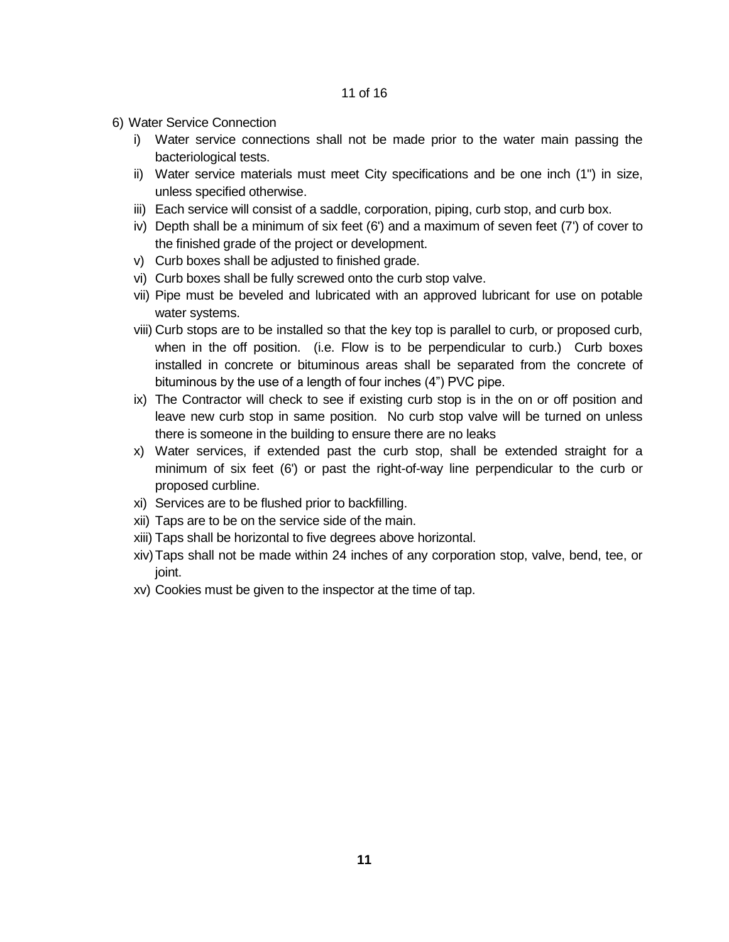- 6) Water Service Connection
	- i) Water service connections shall not be made prior to the water main passing the bacteriological tests.
	- ii) Water service materials must meet City specifications and be one inch (1") in size, unless specified otherwise.
	- iii) Each service will consist of a saddle, corporation, piping, curb stop, and curb box.
	- iv) Depth shall be a minimum of six feet (6') and a maximum of seven feet (7') of cover to the finished grade of the project or development.
	- v) Curb boxes shall be adjusted to finished grade.
	- vi) Curb boxes shall be fully screwed onto the curb stop valve.
	- vii) Pipe must be beveled and lubricated with an approved lubricant for use on potable water systems.
	- viii) Curb stops are to be installed so that the key top is parallel to curb, or proposed curb, when in the off position. (i.e. Flow is to be perpendicular to curb.) Curb boxes installed in concrete or bituminous areas shall be separated from the concrete of bituminous by the use of a length of four inches (4") PVC pipe.
	- ix) The Contractor will check to see if existing curb stop is in the on or off position and leave new curb stop in same position. No curb stop valve will be turned on unless there is someone in the building to ensure there are no leaks
	- x) Water services, if extended past the curb stop, shall be extended straight for a minimum of six feet (6') or past the right-of-way line perpendicular to the curb or proposed curbline.
	- xi) Services are to be flushed prior to backfilling.
	- xii) Taps are to be on the service side of the main.
	- xiii) Taps shall be horizontal to five degrees above horizontal.
	- xiv)Taps shall not be made within 24 inches of any corporation stop, valve, bend, tee, or joint.
	- xv) Cookies must be given to the inspector at the time of tap.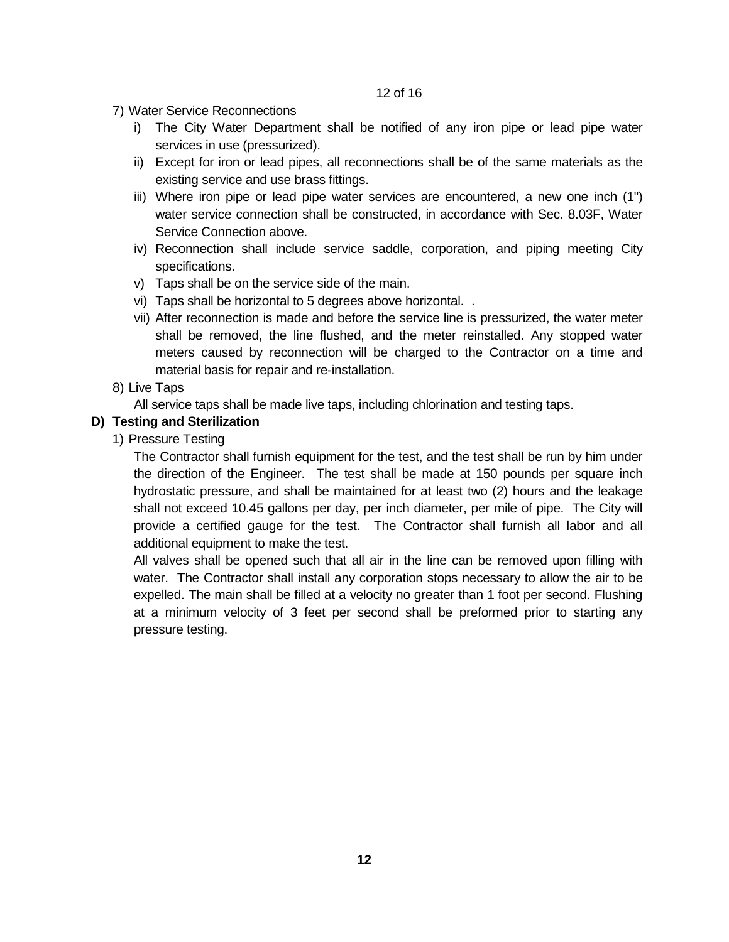7) Water Service Reconnections

- i) The City Water Department shall be notified of any iron pipe or lead pipe water services in use (pressurized).
- ii) Except for iron or lead pipes, all reconnections shall be of the same materials as the existing service and use brass fittings.
- iii) Where iron pipe or lead pipe water services are encountered, a new one inch (1") water service connection shall be constructed, in accordance with Sec. 8.03F, Water Service Connection above.
- iv) Reconnection shall include service saddle, corporation, and piping meeting City specifications.
- v) Taps shall be on the service side of the main.
- vi) Taps shall be horizontal to 5 degrees above horizontal. .
- vii) After reconnection is made and before the service line is pressurized, the water meter shall be removed, the line flushed, and the meter reinstalled. Any stopped water meters caused by reconnection will be charged to the Contractor on a time and material basis for repair and re-installation.
- 8) Live Taps

All service taps shall be made live taps, including chlorination and testing taps.

## **D) Testing and Sterilization**

1) Pressure Testing

The Contractor shall furnish equipment for the test, and the test shall be run by him under the direction of the Engineer. The test shall be made at 150 pounds per square inch hydrostatic pressure, and shall be maintained for at least two (2) hours and the leakage shall not exceed 10.45 gallons per day, per inch diameter, per mile of pipe. The City will provide a certified gauge for the test. The Contractor shall furnish all labor and all additional equipment to make the test.

All valves shall be opened such that all air in the line can be removed upon filling with water. The Contractor shall install any corporation stops necessary to allow the air to be expelled. The main shall be filled at a velocity no greater than 1 foot per second. Flushing at a minimum velocity of 3 feet per second shall be preformed prior to starting any pressure testing.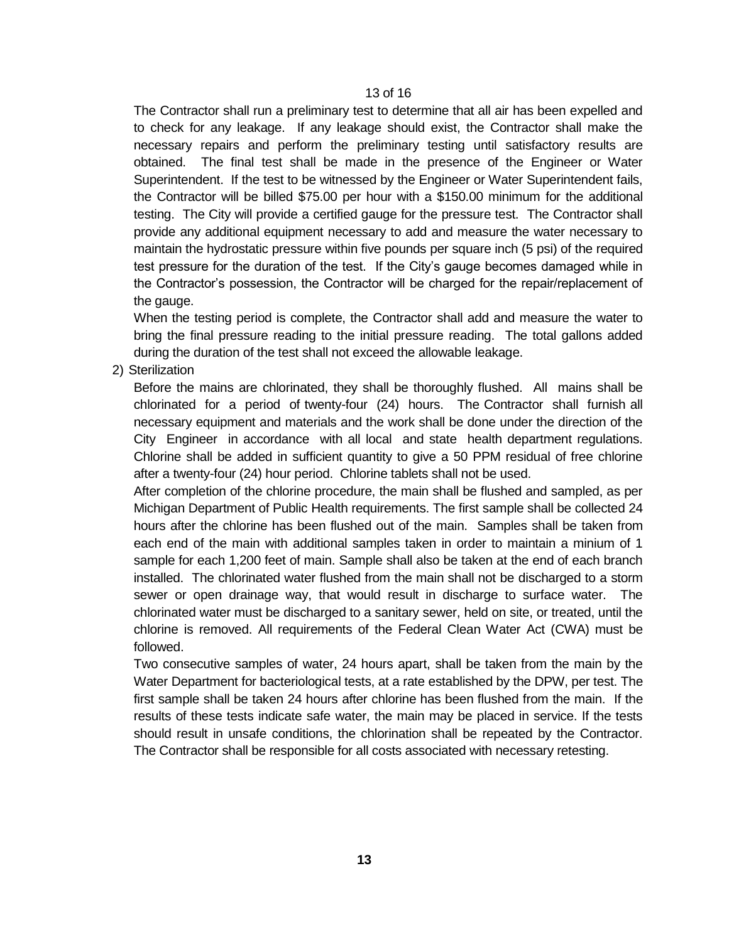The Contractor shall run a preliminary test to determine that all air has been expelled and to check for any leakage. If any leakage should exist, the Contractor shall make the necessary repairs and perform the preliminary testing until satisfactory results are obtained. The final test shall be made in the presence of the Engineer or Water Superintendent. If the test to be witnessed by the Engineer or Water Superintendent fails, the Contractor will be billed \$75.00 per hour with a \$150.00 minimum for the additional testing. The City will provide a certified gauge for the pressure test. The Contractor shall provide any additional equipment necessary to add and measure the water necessary to maintain the hydrostatic pressure within five pounds per square inch (5 psi) of the required test pressure for the duration of the test. If the City's gauge becomes damaged while in the Contractor's possession, the Contractor will be charged for the repair/replacement of the gauge.

When the testing period is complete, the Contractor shall add and measure the water to bring the final pressure reading to the initial pressure reading. The total gallons added during the duration of the test shall not exceed the allowable leakage.

2) Sterilization

Before the mains are chlorinated, they shall be thoroughly flushed. All mains shall be chlorinated for a period of twenty-four (24) hours. The Contractor shall furnish all necessary equipment and materials and the work shall be done under the direction of the City Engineer in accordance with all local and state health department regulations. Chlorine shall be added in sufficient quantity to give a 50 PPM residual of free chlorine after a twenty-four (24) hour period. Chlorine tablets shall not be used.

After completion of the chlorine procedure, the main shall be flushed and sampled, as per Michigan Department of Public Health requirements. The first sample shall be collected 24 hours after the chlorine has been flushed out of the main. Samples shall be taken from each end of the main with additional samples taken in order to maintain a minium of 1 sample for each 1,200 feet of main. Sample shall also be taken at the end of each branch installed. The chlorinated water flushed from the main shall not be discharged to a storm sewer or open drainage way, that would result in discharge to surface water. The chlorinated water must be discharged to a sanitary sewer, held on site, or treated, until the chlorine is removed. All requirements of the Federal Clean Water Act (CWA) must be followed.

Two consecutive samples of water, 24 hours apart, shall be taken from the main by the Water Department for bacteriological tests, at a rate established by the DPW, per test. The first sample shall be taken 24 hours after chlorine has been flushed from the main. If the results of these tests indicate safe water, the main may be placed in service. If the tests should result in unsafe conditions, the chlorination shall be repeated by the Contractor. The Contractor shall be responsible for all costs associated with necessary retesting.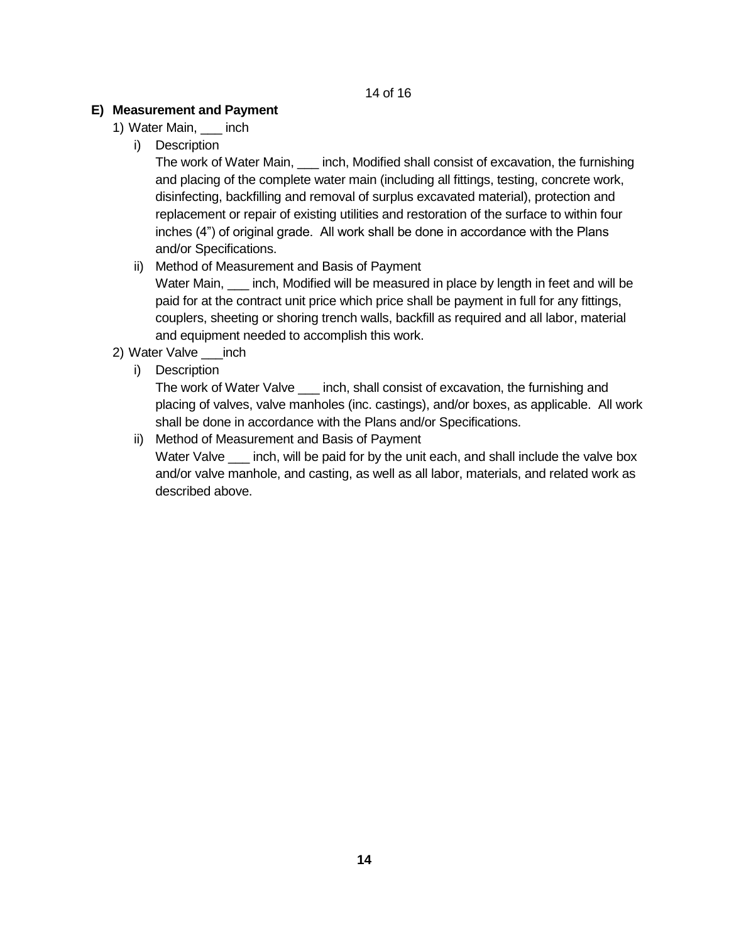# **E) Measurement and Payment**

- 1) Water Main, \_\_\_ inch
	- i) Description

The work of Water Main,  $\_\_$  inch, Modified shall consist of excavation, the furnishing and placing of the complete water main (including all fittings, testing, concrete work, disinfecting, backfilling and removal of surplus excavated material), protection and replacement or repair of existing utilities and restoration of the surface to within four inches (4") of original grade. All work shall be done in accordance with the Plans and/or Specifications.

ii) Method of Measurement and Basis of Payment

Water Main, \_\_\_ inch, Modified will be measured in place by length in feet and will be paid for at the contract unit price which price shall be payment in full for any fittings, couplers, sheeting or shoring trench walls, backfill as required and all labor, material and equipment needed to accomplish this work.

- 2) Water Valve \_\_\_inch
	- i) Description

The work of Water Valve \_\_\_ inch, shall consist of excavation, the furnishing and placing of valves, valve manholes (inc. castings), and/or boxes, as applicable. All work shall be done in accordance with the Plans and/or Specifications.

ii) Method of Measurement and Basis of Payment Water Valve \_\_\_\_ inch, will be paid for by the unit each, and shall include the valve box and/or valve manhole, and casting, as well as all labor, materials, and related work as described above.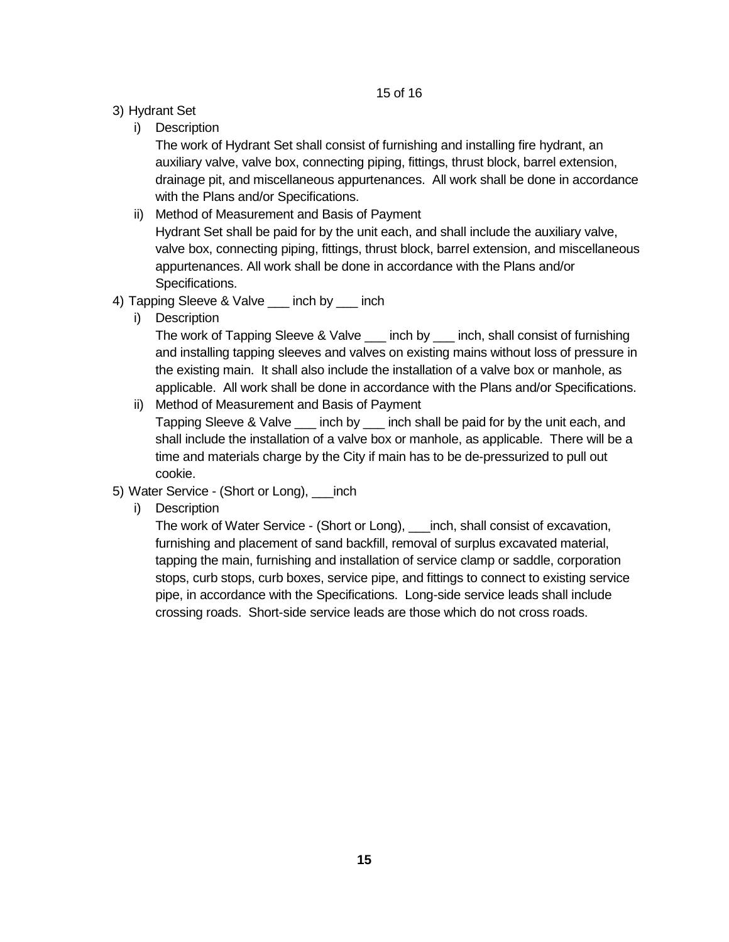- 3) Hydrant Set
	- i) Description

The work of Hydrant Set shall consist of furnishing and installing fire hydrant, an auxiliary valve, valve box, connecting piping, fittings, thrust block, barrel extension, drainage pit, and miscellaneous appurtenances. All work shall be done in accordance with the Plans and/or Specifications.

- ii) Method of Measurement and Basis of Payment Hydrant Set shall be paid for by the unit each, and shall include the auxiliary valve, valve box, connecting piping, fittings, thrust block, barrel extension, and miscellaneous appurtenances. All work shall be done in accordance with the Plans and/or Specifications.
- 4) Tapping Sleeve & Valve \_\_\_ inch by \_\_\_ inch
	- i) Description

The work of Tapping Sleeve & Valve \_\_\_ inch by \_\_\_ inch, shall consist of furnishing and installing tapping sleeves and valves on existing mains without loss of pressure in the existing main. It shall also include the installation of a valve box or manhole, as applicable. All work shall be done in accordance with the Plans and/or Specifications.

- ii) Method of Measurement and Basis of Payment Tapping Sleeve & Valve \_\_\_ inch by \_\_\_ inch shall be paid for by the unit each, and shall include the installation of a valve box or manhole, as applicable. There will be a time and materials charge by the City if main has to be de-pressurized to pull out cookie.
- 5) Water Service (Short or Long), \_\_\_inch
	- i) Description

The work of Water Service - (Short or Long), \_\_\_inch, shall consist of excavation, furnishing and placement of sand backfill, removal of surplus excavated material, tapping the main, furnishing and installation of service clamp or saddle, corporation stops, curb stops, curb boxes, service pipe, and fittings to connect to existing service pipe, in accordance with the Specifications. Long-side service leads shall include crossing roads. Short-side service leads are those which do not cross roads.